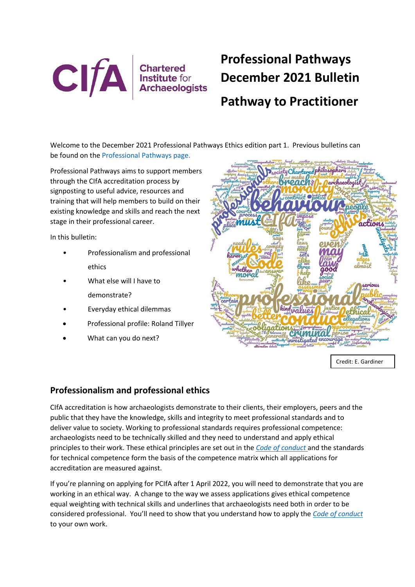

# **Professional Pathways December 2021 Bulletin Pathway to Practitioner**

Welcome to the December 2021 Professional Pathways Ethics edition part 1. Previous bulletins can be found on the [Professional Pathways page.](https://www.archaeologists.net/pathways)

Professional Pathways aims to support members through the CIfA accreditation process by signposting to useful advice, resources and training that will help members to build on their existing knowledge and skills and reach the next stage in their professional career.

In this bulletin:

- *•* Professionalism and professional ethics
- *•* What else will I have to demonstrate?
- *•* Everyday ethical dilemmas
- Professional profile: Roland Tillyer
- What can you do next?



Credit: E. Gardiner

## **Professionalism and professional ethics**

CIfA accreditation is how archaeologists demonstrate to their clients, their employers, peers and the public that they have the knowledge, skills and integrity to meet professional standards and to deliver value to society. Working to professional standards requires professional competence: archaeologists need to be technically skilled and they need to understand and apply ethical principles to their work. These ethical principles are set out in the *[Code of conduct](https://www.archaeologists.net/sites/default/files/Code%20of%20conduct%20revOct2021.pdf)* and the standards for technical competence form the basis of the competence matrix which all applications for accreditation are measured against.

If you're planning on applying for PCIfA after 1 April 2022, you will need to demonstrate that you are working in an ethical way. A change to the way we assess applications gives ethical competence equal weighting with technical skills and underlines that archaeologists need both in order to be considered professional. You'll need to show that you understand how to apply the *[Code of conduct](https://www.archaeologists.net/sites/default/files/Code%20of%20conduct%20revOct2021.pdf)* to your own work.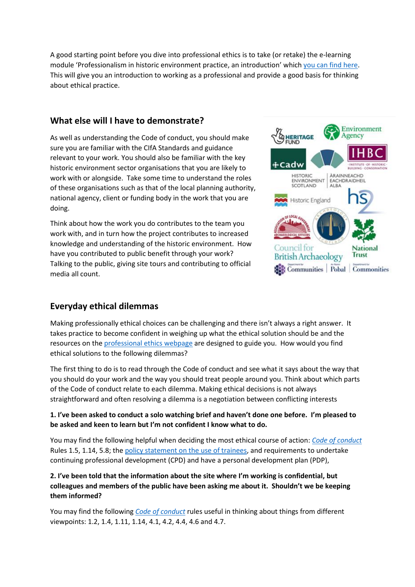A good starting point before you dive into professional ethics is to take (or retake) the e-learning module 'Professionalism in historic environment practice, an introduction' whic[h you can find here.](https://www.archaeologists.net/elearning) This will give you an introduction to working as a professional and provide a good basis for thinking about ethical practice.

## **What else will I have to demonstrate?**

As well as understanding the Code of conduct, you should make sure you are familiar with the CIfA Standards and guidance relevant to your work. You should also be familiar with the key historic environment sector organisations that you are likely to work with or alongside. Take some time to understand the roles of these organisations such as that of the local planning authority, national agency, client or funding body in the work that you are doing.

Think about how the work you do contributes to the team you work with, and in turn how the project contributes to increased knowledge and understanding of the historic environment. How have you contributed to public benefit through your work? Talking to the public, giving site tours and contributing to official media all count.



# **Everyday ethical dilemmas**

Making professionally ethical choices can be challenging and there isn't always a right answer. It takes practice to become confident in weighing up what the ethical solution should be and the resources on the [professional ethics](https://www.archaeologists.net/membership/ethics) webpage are designed to guide you. How would you find ethical solutions to the following dilemmas?

The first thing to do is to read through the Code of conduct and see what it says about the way that you should do your work and the way you should treat people around you. Think about which parts of the Code of conduct relate to each dilemma. Making ethical decisions is not always straightforward and often resolving a dilemma is a negotiation between conflicting interests

#### **1. I've been asked to conduct a solo watching brief and haven't done one before. I'm pleased to be asked and keen to learn but I'm not confident I know what to do.**

You may find the following helpful when deciding the most ethical course of action: *[Code of conduct](https://www.archaeologists.net/sites/default/files/Code%20of%20conduct%20revOct2021.pdf)* Rules 1.5, 1.14, 5.8; the [policy statement on the use of trainees,](https://www.archaeologists.net/sites/default/files/Policy%20statements%20revised%20May%202021.pdf) and requirements to undertake continuing professional development (CPD) and have a personal development plan (PDP),

#### **2. I've been told that the information about the site where I'm working is confidential, but colleagues and members of the public have been asking me about it. Shouldn't we be keeping them informed?**

You may find the following *[Code of conduct](https://www.archaeologists.net/sites/default/files/Code%20of%20conduct%20revOct2021.pdf)* rules useful in thinking about things from different viewpoints: 1.2, 1.4, 1.11, 1.14, 4.1, 4.2, 4.4, 4.6 and 4.7.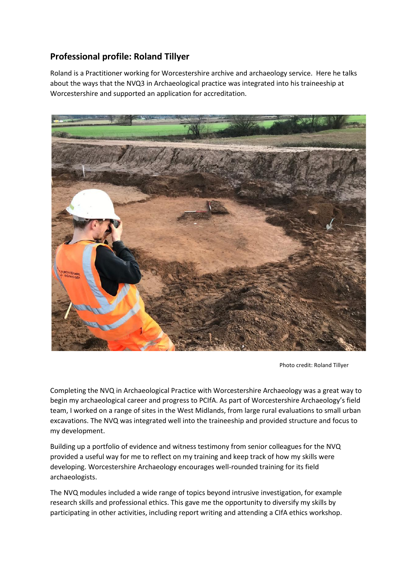# **Professional profile: Roland Tillyer**

Roland is a Practitioner working for Worcestershire archive and archaeology service. Here he talks about the ways that the NVQ3 in Archaeological practice was integrated into his traineeship at Worcestershire and supported an application for accreditation.



Photo credit: Roland Tillyer

Completing the NVQ in Archaeological Practice with Worcestershire Archaeology was a great way to begin my archaeological career and progress to PCIfA. As part of Worcestershire Archaeology's field team, I worked on a range of sites in the West Midlands, from large rural evaluations to small urban excavations. The NVQ was integrated well into the traineeship and provided structure and focus to my development.

Building up a portfolio of evidence and witness testimony from senior colleagues for the NVQ provided a useful way for me to reflect on my training and keep track of how my skills were developing. Worcestershire Archaeology encourages well-rounded training for its field archaeologists.

The NVQ modules included a wide range of topics beyond intrusive investigation, for example research skills and professional ethics. This gave me the opportunity to diversify my skills by participating in other activities, including report writing and attending a CIfA ethics workshop.